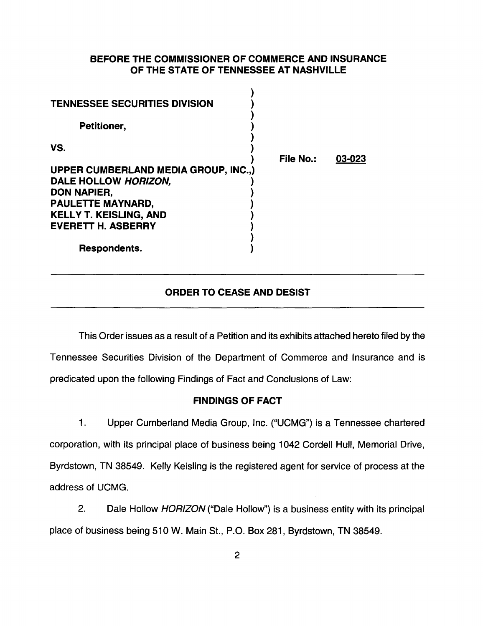## BEFORE THE COMMISSIONER OF COMMERCE AND INSURANCE OF THE STATE OF TENNESSEE AT NASHVILLE

| <b>TENNESSEE SECURITIES DIVISION</b> |                  |        |
|--------------------------------------|------------------|--------|
| Petitioner,                          |                  |        |
| VS.                                  | <b>File No.:</b> | 03-023 |
| UPPER CUMBERLAND MEDIA GROUP, INC.,) |                  |        |
| DALE HOLLOW HORIZON,                 |                  |        |
| <b>DON NAPIER,</b>                   |                  |        |
| PAULETTE MAYNARD,                    |                  |        |
| <b>KELLY T. KEISLING, AND</b>        |                  |        |
| <b>EVERETT H. ASBERRY</b>            |                  |        |
|                                      |                  |        |
| Respondents.                         |                  |        |

# ORDER TO CEASE AND DESIST

This Order issues as a result of a Petition and its exhibits attached hereto filed by the Tennessee Securities Division of the Department of Commerce and Insurance and is predicated upon the following Findings of Fact and Conclusions of Law:

### FINDINGS OF FACT

1. Upper Cumberland Media Group, Inc. ("UCMG") is a Tennessee chartered corporation, with its principal place of business being 1042 Cordell Hull, Memorial Drive, Byrdstown, TN 38549. Kelly Keisling is the registered agent for service of process at the address of UCMG.

2. Dale Hollow HORIZON ("Dale Hollow") is a business entity with its principal place of business being 510 W. Main St., P.O. Box 281, Byrdstown, TN 38549.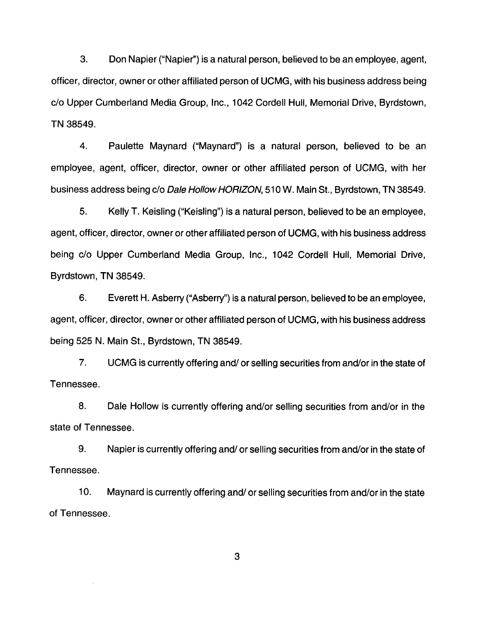3. Don Napier ("Napier'') is a natural person, believed to be an employee, agent, officer, director, owner or other affiliated person of UCMG, with his business address being c/o Upper Cumberland Media Group, Inc., 1042 Cordell Hull, Memorial Drive, Byrdstown, TN 38549.

4. Paulette Maynard ("Maynard") is a natural person, believed to be an employee, agent, officer, director, owner or other affiliated person of UCMG, with her business address being c/o Dale Hollow HORIZON, 510 W. Main St., Byrdstown, TN 38549.

5. Kelly T. Keisling ("Keisling") is a natural person, believed to be an employee, agent, officer, director, owner or other affiliated person of UCMG, with his business address being c/o Upper Cumberland Media Group, Inc., 1042 Cordell Hull, Memorial Drive, Byrdstown, TN 38549.

6. Everett H. Asberry ("Asberry'') is a natural person, believed to be an employee, agent, officer, director, owner or other affiliated person of UCMG, with his business address being 525 N. Main St., Byrdstown, TN 38549.

7. UCMG is currently offering and/ or selling securities from and/or in the state of Tennessee.

8. Dale Hollow is currently offering and/or selling securities from and/or in the state of Tennessee.

9. Napier is currently offering and/ or selling securities from and/or in the state of Tennessee.

10. Maynard is currently offering and/ or selling securities from and/or in the state of Tennessee.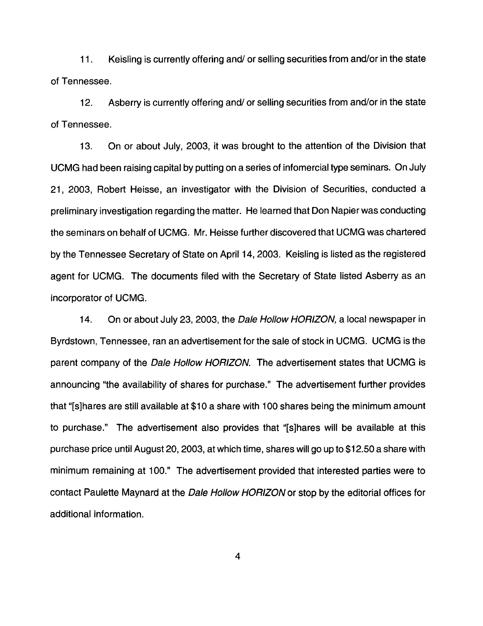11 . Keisling is currently offering and/ or selling securities from and/or in the state of Tennessee.

12. Asberry is currently offering and/ or selling securities from and/or in the state of Tennessee.

13. On or about July, 2003, it was brought to the attention of the Division that UCMG had been raising capital by putting on a series of infomercial type seminars. On July 21, 2003, Robert Heisse, an investigator with the Division of Securities, conducted a preliminary investigation regarding the matter. He learned that Don Napier was conducting the seminars on behalf of UCMG. Mr. Heisse further discovered that UCMG was chartered by the Tennessee Secretary of State on April 14, 2003. Keisling is listed as the registered agent for UCMG. The documents filed with the Secretary of State listed Asberry as an incorporator of UCMG.

14. On or about July 23, 2003, the Dale Hollow HORIZON, a local newspaper in Byrdstown, Tennessee, ran an advertisement for the sale of stock in UCMG. UCMG is the parent company of the Dale Hollow HORIZON. The advertisement states that UCMG is announcing "the availability of shares for purchase." The advertisement further provides that "[s]hares are still available at \$10 a share with 100 shares being the minimum amount to purchase." The advertisement also provides that "[s]hares will be available at this purchase price until August 20, 2003, at which time, shares will go up to \$12.50 a share with minimum remaining at 100." The advertisement provided that interested parties were to contact Paulette Maynard at the Dale Hollow HORIZON or stop by the editorial offices for additional information.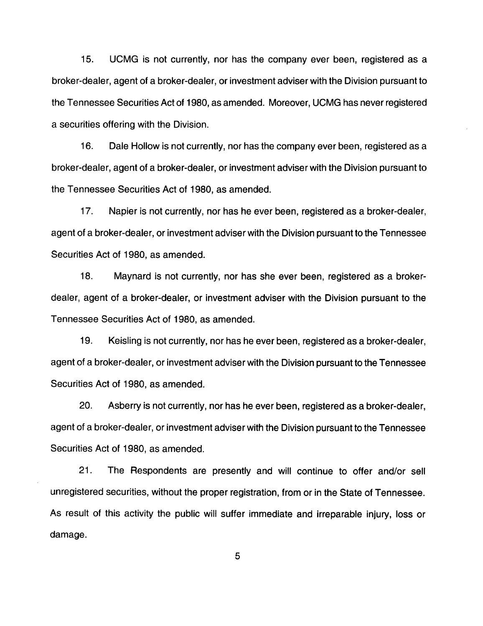15. UCMG is not currently, nor has the company ever been, registered as a broker-dealer, agent of a broker-dealer, or investment adviser with the Division pursuant to the Tennessee Securities Act of 1980, as amended. Moreover, UCMG has never registered a securities offering with the Division.

16. Dale Hollow is not currently, nor has the company ever been, registered as a broker-dealer, agent of a broker-dealer, or investment adviser with the Division pursuant to the Tennessee Securities Act of 1980, as amended.

17. Napier is not currently, nor has he ever been, registered as a broker-dealer, agent of a broker-dealer, or investment adviser with the Division pursuant to the Tennessee Securities Act of 1980, as amended.

18. Maynard is not currently, nor has she ever been, registered as a brokerdealer, agent of a broker-dealer, or investment adviser with the Division pursuant to the Tennessee Securities Act of 1980, as amended.

19. Keisling is not currently, nor has he ever been, registered as a broker-dealer, agent of a broker-dealer, or investment adviser with the Division pursuant to the Tennessee Securities Act of 1980, as amended.

20. Asberry is not currently, nor has he ever been, registered as a broker-dealer, agent of a broker-dealer, or investment adviser with the Division pursuant to the Tennessee Securities Act of 1980, as amended.

21. The Respondents are presently and will continue to offer and/or sell unregistered securities, without the proper registration, from or in the State of Tennessee. As result of this activity the public will suffer immediate and irreparable injury, loss or damage.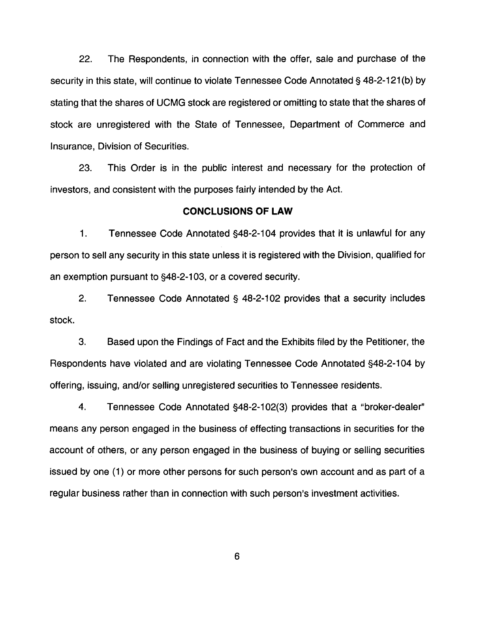22. The Respondents, in connection with the offer, sale and purchase of the security in this state, will continue to violate Tennessee Code Annotated§ 48-2-121(b) by stating that the shares of UCMG stock are registered or omitting to state that the shares of stock are unregistered with the State of Tennessee, Department of Commerce and Insurance, Division of Securities.

23. This Order is in the public interest and necessary for the protection of investors, and consistent with the purposes fairly intended by the Act.

#### **CONCLUSIONS OF LAW**

1. Tennessee Code Annotated §48-2-104 provides that it is unlawful for any person to sell any security in this state unless it is registered with the Division, qualified for an exemption pursuant to §48-2-103, or a covered security.

2. Tennessee Code Annotated§ 48-2-102 provides that a security includes stock.

3. Based upon the Findings of Fact and the Exhibits filed by the Petitioner, the Respondents have violated and are violating Tennessee Code Annotated §48-2-104 by offering, issuing, and/or selling unregistered securities to Tennessee residents.

4. Tennessee Code Annotated §48-2-102(3) provides that a "broker-dealer" means any person engaged in the business of effecting transactions in securities for the account of others, or any person engaged in the business of buying or selling securities issued by one (1) or more other persons for such person's own account and as part of a regular business rather than in connection with such person's investment activities.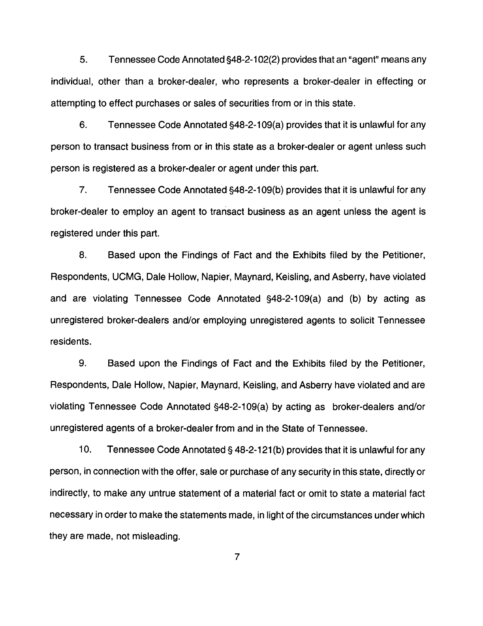5. Tennessee Code Annotated §48-2-1 02(2) provides that an "agent" means any individual, other than a broker-dealer, who represents a broker-dealer in effecting or attempting to effect purchases or sales of securities from or in this state.

6. Tennessee Code Annotated §48-2-109(a) provides that it is unlawful for any person to transact business from or in this state as a broker-dealer or agent unless such person is registered as a broker-dealer or agent under this part.

7. Tennessee Code Annotated §48-2-109(b) provides that it is unlawful for any broker-dealer to employ an agent to transact business as an agent unless the agent is registered under this part.

8. Based upon the Findings of Fact and the Exhibits filed by the Petitioner, Respondents, UCMG, Dale Hollow, Napier, Maynard, Keisling, and Asberry, have violated and are violating Tennessee Code Annotated §48-2-109(a) and (b) by acting as unregistered broker-dealers and/or employing unregistered agents to solicit Tennessee residents.

9. Based upon the Findings of Fact and the Exhibits filed by the Petitioner, Respondents, Dale Hollow, Napier, Maynard, Keisling, and Asberry have violated and are violating Tennessee Code Annotated §48-2-109(a) by acting as broker-dealers and/or unregistered agents of a broker-dealer from and in the State of Tennessee.

10. Tennessee Code Annotated§ 48-2-121 (b) provides that it is unlawful for any person, in connection with the offer, sale or purchase of any security in this state, directly or indirectly, to make any untrue statement of a material fact or omit to state a material fact necessary in order to make the statements made, in light of the circumstances under which they are made, not misleading.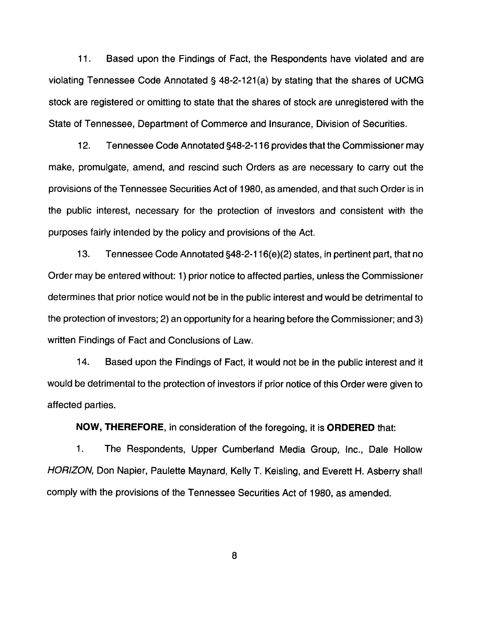11. Based upon the Findings of Fact, the Respondents have violated and are violating Tennessee Code Annotated § 48-2-121 (a) by stating that the shares of UCMG stock are registered or omitting to state that the shares of stock are unregistered with the State of Tennessee, Department of Commerce and Insurance, Division of Securities.

12. Tennessee Code Annotated §48-2-116 provides that the Commissioner may make, promulgate, amend, and rescind such Orders as are necessary to carry out the provisions of the Tennessee Securities Act of 1980, as amended, and that such Order is in the public interest, necessary for the protection of investors and consistent with the purposes fairly intended by the policy and provisions of the Act.

13. Tennessee Code Annotated §48-2-116(e)(2) states, in pertinent part, that no Order may be entered without: 1) prior notice to affected parties, unless the Commissioner determines that prior notice would not be in the public interest and would be detrimental to the protection of investors; 2) an opportunity for a hearing before the Commissioner; and 3) written Findings of Fact and Conclusions of Law.

14. Based upon the Findings of Fact, it would not be in the public interest and it would be detrimental to the protection of investors if prior notice of this Order were given to affected parties.

**NOW, THEREFORE,** in consideration of the foregoing, it is **ORDERED** that:

1. The Respondents, Upper Cumberland Media Group, Inc., Dale Hollow HORIZON, Don Napier, Paulette Maynard, Kelly T. Keisling, and Everett H. Asberry shall comply with the provisions of the Tennessee Securities Act of 1980, as amended.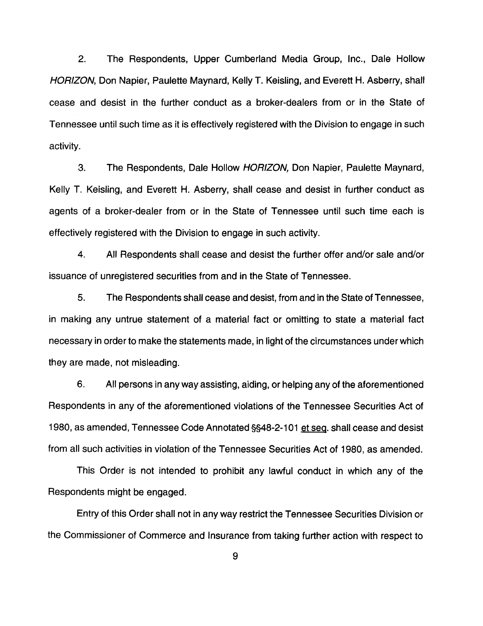2. The Respondents, Upper Cumberland Media Group, Inc., Dale Hollow HORIZON, Don Napier, Paulette Maynard, Kelly T. Keisling, and Everett H. Asberry, shall cease and desist in the further conduct as a broker-dealers from or in the State of Tennessee until such time as it is effectively registered with the Division to engage in such activity.

3. The Respondents, Dale Hollow HORIZON, Don Napier, Paulette Maynard, Kelly T. Keisling, and Everett H. Asberry, shall cease and desist in further conduct as agents of a broker-dealer from or in the State of Tennessee until such time each is effectively registered with the Division to engage in such activity.

4. All Respondents shall cease and desist the further offer and/or sale and/or issuance of unregistered securities from and in the State of Tennessee.

5. The Respondents shall cease and desist, from and in the State of Tennessee, in making any untrue statement of a material fact or omitting to state a material fact necessary in order to make the statements made, in light of the circumstances under which they are made, not misleading.

6. All persons in any way assisting, aiding, or helping any of the aforementioned Respondents in any of the aforementioned violations of the Tennessee Securities Act of 1980, as amended, Tennessee Code Annotated §§48-2-101 et seq. shall cease and desist from all such activities in violation of the Tennessee Securities Act of 1980, as amended.

This Order is not intended to prohibit any lawful conduct in which any of the Respondents might be engaged.

Entry of this Order shall not in any way restrict the Tennessee Securities Division or the Commissioner of Commerce and Insurance from taking further action with respect to